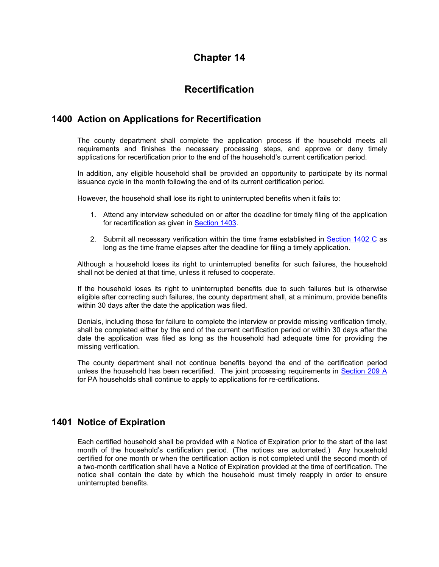## **Chapter 14**

# **Recertification**

### **1400 Action on Applications for Recertification**

The county department shall complete the application process if the household meets all requirements and finishes the necessary processing steps, and approve or deny timely applications for recertification prior to the end of the household's current certification period.

In addition, any eligible household shall be provided an opportunity to participate by its normal issuance cycle in the month following the end of its current certification period.

However, the household shall lose its right to uninterrupted benefits when it fails to:

- 1. Attend any interview scheduled on or after the deadline for timely filing of the application for recertification as given in Section 1403.
- 2. Submit all necessary verification within the time frame established in Section 1402 C as long as the time frame elapses after the deadline for filing a timely application.

Although a household loses its right to uninterrupted benefits for such failures, the household shall not be denied at that time, unless it refused to cooperate.

If the household loses its right to uninterrupted benefits due to such failures but is otherwise eligible after correcting such failures, the county department shall, at a minimum, provide benefits within 30 days after the date the application was filed.

Denials, including those for failure to complete the interview or provide missing verification timely, shall be completed either by the end of the current certification period or within 30 days after the date the application was filed as long as the household had adequate time for providing the missing verification.

The county department shall not continue benefits beyond the end of the certification period unless the household has been recertified. The joint processing requirements in Section 209 A for PA households shall continue to apply to applications for re-certifications.

## **1401 Notice of Expiration**

Each certified household shall be provided with a Notice of Expiration prior to the start of the last month of the household's certification period. (The notices are automated.) Any household certified for one month or when the certification action is not completed until the second month of a two-month certification shall have a Notice of Expiration provided at the time of certification. The notice shall contain the date by which the household must timely reapply in order to ensure uninterrupted benefits.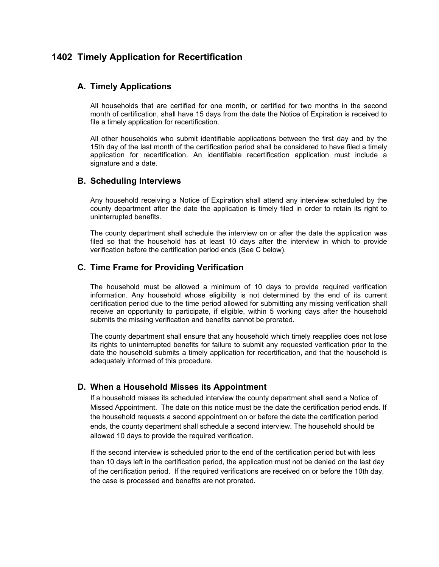### **1402 Timely Application for Recertification**

### **A. Timely Applications**

All households that are certified for one month, or certified for two months in the second month of certification, shall have 15 days from the date the Notice of Expiration is received to file a timely application for recertification.

All other households who submit identifiable applications between the first day and by the 15th day of the last month of the certification period shall be considered to have filed a timely application for recertification. An identifiable recertification application must include a signature and a date.

### **B. Scheduling Interviews**

Any household receiving a Notice of Expiration shall attend any interview scheduled by the county department after the date the application is timely filed in order to retain its right to uninterrupted benefits.

The county department shall schedule the interview on or after the date the application was filed so that the household has at least 10 days after the interview in which to provide verification before the certification period ends (See C below).

### **C. Time Frame for Providing Verification**

The household must be allowed a minimum of 10 days to provide required verification information. Any household whose eligibility is not determined by the end of its current certification period due to the time period allowed for submitting any missing verification shall receive an opportunity to participate, if eligible, within 5 working days after the household submits the missing verification and benefits cannot be prorated.

The county department shall ensure that any household which timely reapplies does not lose its rights to uninterrupted benefits for failure to submit any requested verification prior to the date the household submits a timely application for recertification, and that the household is adequately informed of this procedure.

### **D. When a Household Misses its Appointment**

If a household misses its scheduled interview the county department shall send a Notice of Missed Appointment. The date on this notice must be the date the certification period ends. If the household requests a second appointment on or before the date the certification period ends, the county department shall schedule a second interview. The household should be allowed 10 days to provide the required verification.

If the second interview is scheduled prior to the end of the certification period but with less than 10 days left in the certification period, the application must not be denied on the last day of the certification period. If the required verifications are received on or before the 10th day, the case is processed and benefits are not prorated.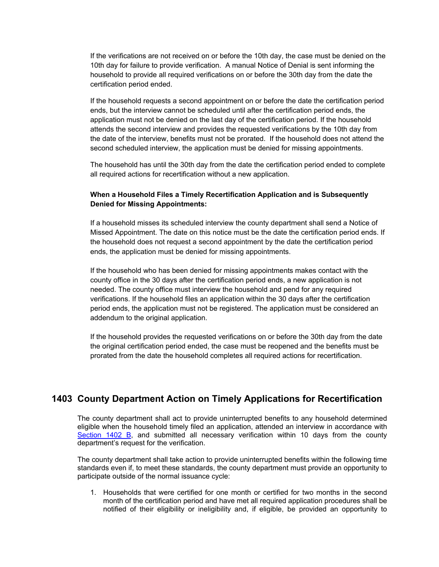If the verifications are not received on or before the 10th day, the case must be denied on the 10th day for failure to provide verification. A manual Notice of Denial is sent informing the household to provide all required verifications on or before the 30th day from the date the certification period ended.

If the household requests a second appointment on or before the date the certification period ends, but the interview cannot be scheduled until after the certification period ends, the application must not be denied on the last day of the certification period. If the household attends the second interview and provides the requested verifications by the 10th day from the date of the interview, benefits must not be prorated. If the household does not attend the second scheduled interview, the application must be denied for missing appointments.

The household has until the 30th day from the date the certification period ended to complete all required actions for recertification without a new application.

### **When a Household Files a Timely Recertification Application and is Subsequently Denied for Missing Appointments:**

If a household misses its scheduled interview the county department shall send a Notice of Missed Appointment. The date on this notice must be the date the certification period ends. If the household does not request a second appointment by the date the certification period ends, the application must be denied for missing appointments.

If the household who has been denied for missing appointments makes contact with the county office in the 30 days after the certification period ends, a new application is not needed. The county office must interview the household and pend for any required verifications. If the household files an application within the 30 days after the certification period ends, the application must not be registered. The application must be considered an addendum to the original application.

If the household provides the requested verifications on or before the 30th day from the date the original certification period ended, the case must be reopened and the benefits must be prorated from the date the household completes all required actions for recertification.

## **1403 County Department Action on Timely Applications for Recertification**

The county department shall act to provide uninterrupted benefits to any household determined eligible when the household timely filed an application, attended an interview in accordance with Section 1402 B, and submitted all necessary verification within 10 days from the county department's request for the verification.

The county department shall take action to provide uninterrupted benefits within the following time standards even if, to meet these standards, the county department must provide an opportunity to participate outside of the normal issuance cycle:

1. Households that were certified for one month or certified for two months in the second month of the certification period and have met all required application procedures shall be notified of their eligibility or ineligibility and, if eligible, be provided an opportunity to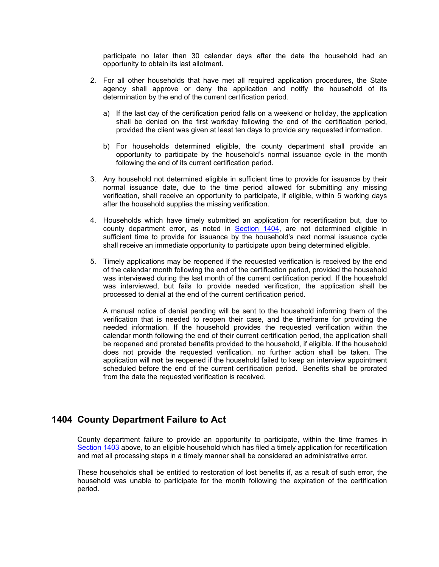participate no later than 30 calendar days after the date the household had an opportunity to obtain its last allotment.

- 2. For all other households that have met all required application procedures, the State agency shall approve or deny the application and notify the household of its determination by the end of the current certification period.
	- a) If the last day of the certification period falls on a weekend or holiday, the application shall be denied on the first workday following the end of the certification period, provided the client was given at least ten days to provide any requested information.
	- b) For households determined eligible, the county department shall provide an opportunity to participate by the household's normal issuance cycle in the month following the end of its current certification period.
- 3. Any household not determined eligible in sufficient time to provide for issuance by their normal issuance date, due to the time period allowed for submitting any missing verification, shall receive an opportunity to participate, if eligible, within 5 working days after the household supplies the missing verification.
- 4. Households which have timely submitted an application for recertification but, due to county department error, as noted in Section 1404, are not determined eligible in sufficient time to provide for issuance by the household's next normal issuance cycle shall receive an immediate opportunity to participate upon being determined eligible.
- 5. Timely applications may be reopened if the requested verification is received by the end of the calendar month following the end of the certification period, provided the household was interviewed during the last month of the current certification period. If the household was interviewed, but fails to provide needed verification, the application shall be processed to denial at the end of the current certification period.

A manual notice of denial pending will be sent to the household informing them of the verification that is needed to reopen their case, and the timeframe for providing the needed information. If the household provides the requested verification within the calendar month following the end of their current certification period, the application shall be reopened and prorated benefits provided to the household, if eligible. If the household does not provide the requested verification, no further action shall be taken. The application will **not** be reopened if the household failed to keep an interview appointment scheduled before the end of the current certification period. Benefits shall be prorated from the date the requested verification is received.

### **1404 County Department Failure to Act**

County department failure to provide an opportunity to participate, within the time frames in Section 1403 above, to an eligible household which has filed a timely application for recertification and met all processing steps in a timely manner shall be considered an administrative error.

These households shall be entitled to restoration of lost benefits if, as a result of such error, the household was unable to participate for the month following the expiration of the certification period.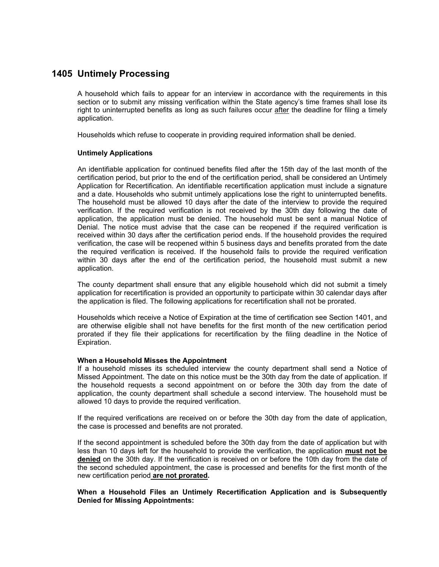## **1405 Untimely Processing**

A household which fails to appear for an interview in accordance with the requirements in this section or to submit any missing verification within the State agency's time frames shall lose its right to uninterrupted benefits as long as such failures occur after the deadline for filing a timely application.

Households which refuse to cooperate in providing required information shall be denied.

#### **Untimely Applications**

An identifiable application for continued benefits filed after the 15th day of the last month of the certification period, but prior to the end of the certification period, shall be considered an Untimely Application for Recertification. An identifiable recertification application must include a signature and a date. Households who submit untimely applications lose the right to uninterrupted benefits. The household must be allowed 10 days after the date of the interview to provide the required verification. If the required verification is not received by the 30th day following the date of application, the application must be denied. The household must be sent a manual Notice of Denial. The notice must advise that the case can be reopened if the required verification is received within 30 days after the certification period ends. If the household provides the required verification, the case will be reopened within 5 business days and benefits prorated from the date the required verification is received. If the household fails to provide the required verification within 30 days after the end of the certification period, the household must submit a new application.

The county department shall ensure that any eligible household which did not submit a timely application for recertification is provided an opportunity to participate within 30 calendar days after the application is filed. The following applications for recertification shall not be prorated.

Households which receive a Notice of Expiration at the time of certification see Section 1401, and are otherwise eligible shall not have benefits for the first month of the new certification period prorated if they file their applications for recertification by the filing deadline in the Notice of Expiration.

#### **When a Household Misses the Appointment**

If a household misses its scheduled interview the county department shall send a Notice of Missed Appointment. The date on this notice must be the 30th day from the date of application. If the household requests a second appointment on or before the 30th day from the date of application, the county department shall schedule a second interview. The household must be allowed 10 days to provide the required verification.

If the required verifications are received on or before the 30th day from the date of application, the case is processed and benefits are not prorated.

If the second appointment is scheduled before the 30th day from the date of application but with less than 10 days left for the household to provide the verification, the application **must not be denied** on the 30th day. If the verification is received on or before the 10th day from the date of the second scheduled appointment, the case is processed and benefits for the first month of the new certification period **are not prorated.** 

#### **When a Household Files an Untimely Recertification Application and is Subsequently Denied for Missing Appointments:**